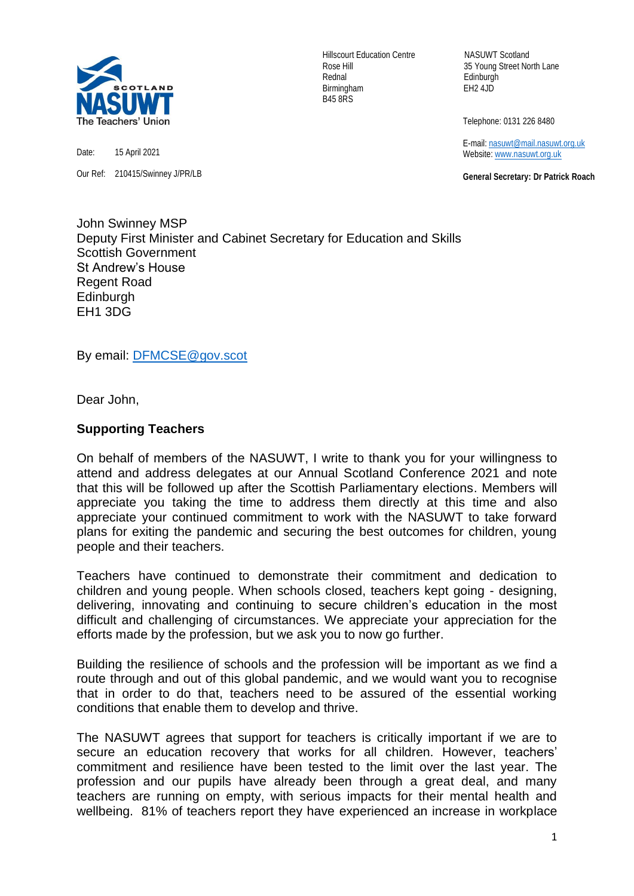

Date: 15 April 2021

Our Ref: 210415/Swinney J/PR/LB

Hillscourt Education Centre NASUWT Scotland Rednal Edinburgh Birmingham EH2 4JD B45 8RS

Rose Hill 35 Young Street North Lane

Telephone: 0131 226 8480

 E-mail[: nasuwt@mail.nasuwt.org.uk](mailto:nasuwt@mail.nasuwt.org.uk) Website: [www.nasuwt.org.uk](http://www.nasuwt.org.uk/)

 **General Secretary: Dr Patrick Roach**

John Swinney MSP Deputy First Minister and Cabinet Secretary for Education and Skills Scottish Government St Andrew's House Regent Road **Edinburgh** EH1 3DG

By email: [DFMCSE@gov.scot](mailto:DFMCSE@gov.scot)

Dear John,

## **Supporting Teachers**

On behalf of members of the NASUWT, I write to thank you for your willingness to attend and address delegates at our Annual Scotland Conference 2021 and note that this will be followed up after the Scottish Parliamentary elections. Members will appreciate you taking the time to address them directly at this time and also appreciate your continued commitment to work with the NASUWT to take forward plans for exiting the pandemic and securing the best outcomes for children, young people and their teachers.

Teachers have continued to demonstrate their commitment and dedication to children and young people. When schools closed, teachers kept going - designing, delivering, innovating and continuing to secure children's education in the most difficult and challenging of circumstances. We appreciate your appreciation for the efforts made by the profession, but we ask you to now go further.

Building the resilience of schools and the profession will be important as we find a route through and out of this global pandemic, and we would want you to recognise that in order to do that, teachers need to be assured of the essential working conditions that enable them to develop and thrive.

The NASUWT agrees that support for teachers is critically important if we are to secure an education recovery that works for all children. However, teachers' commitment and resilience have been tested to the limit over the last year. The profession and our pupils have already been through a great deal, and many teachers are running on empty, with serious impacts for their mental health and wellbeing. 81% of teachers report they have experienced an increase in workplace